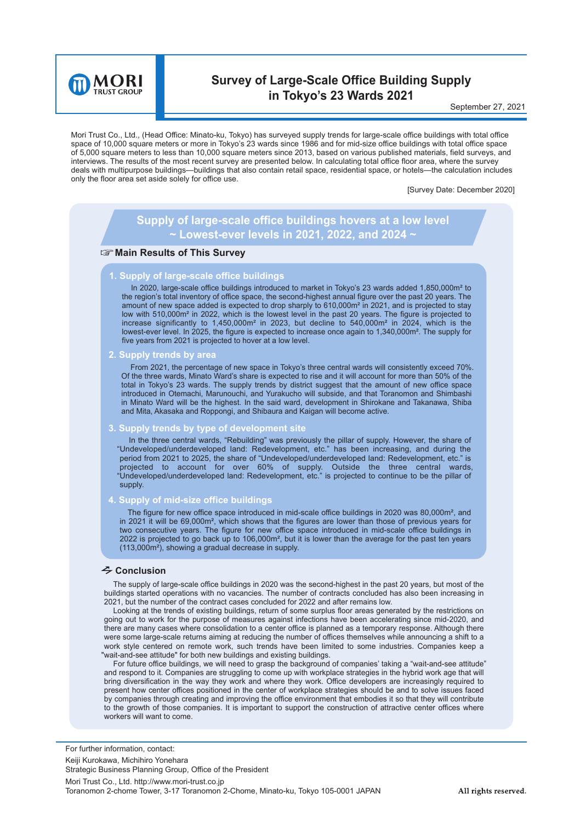

# **Survey of Large-Scale Office Building Supply in Tokyo's 23 Wards 2021**

September 27, 2021

Mori Trust Co., Ltd., (Head Office: Minato-ku, Tokyo) has surveyed supply trends for large-scale office buildings with total office space of 10,000 square meters or more in Tokyo's 23 wards since 1986 and for mid-size office buildings with total office space of 5,000 square meters to less than 10,000 square meters since 2013, based on various published materials, field surveys, and interviews. The results of the most recent survey are presented below. In calculating total office floor area, where the survey deals with multipurpose buildings—buildings that also contain retail space, residential space, or hotels—the calculation includes only the floor area set aside solely for office use.

[Survey Date: December 2020]

# **Supply of large-scale office buildings hovers at a low level ~ Lowest-ever levels in 2021, 2022, and 2024 ~**

## **Main Results of This Survey**

#### **1. Supply of large-scale office buildings**

In 2020, large-scale office buildings introduced to market in Tokyo's 23 wards added 1,850,000m<sup>2</sup> to the region's total inventory of office space, the second-highest annual figure over the past 20 years. The amount of new space added is expected to drop sharply to 610,000m² in 2021, and is projected to stay low with 510,000m<sup>2</sup> in 2022, which is the lowest level in the past 20 years. The figure is projected to increase significantly to 1,450,000m² in 2023, but decline to 540,000m² in 2024, which is the lowest-ever level. In 2025, the figure is expected to increase once again to 1,340,000m². The supply for five years from 2021 is projected to hover at a low level.

**2. Supply trends by area**

From 2021, the percentage of new space in Tokyo's three central wards will consistently exceed 70%. Of the three wards, Minato Ward's share is expected to rise and it will account for more than 50% of the total in Tokyo's 23 wards. The supply trends by district suggest that the amount of new office space introduced in Otemachi, Marunouchi, and Yurakucho will subside, and that Toranomon and Shimbashi in Minato Ward will be the highest. In the said ward, development in Shirokane and Takanawa, Shiba and Mita, Akasaka and Roppongi, and Shibaura and Kaigan will become active.

#### **3. Supply trends by type of development site**

In the three central wards, "Rebuilding" was previously the pillar of supply. However, the share of "Undeveloped/underdeveloped land: Redevelopment, etc." has been increasing, and during the period from 2021 to 2025, the share of "Undeveloped/underdeveloped land: Redevelopment, etc." is projected to account for over 60% of supply. Outside the three central wards, "Undeveloped/underdeveloped land: Redevelopment, etc." is projected to continue to be the pillar of supply.

#### **4. Supply of mid-size office buildings**

The figure for new office space introduced in mid-scale office buildings in 2020 was 80,000m<sup>2</sup>, and in 2021 it will be 69,000m², which shows that the figures are lower than those of previous years for two consecutive years. The figure for new office space introduced in mid-scale office buildings in 2022 is projected to go back up to 106,000m<sup>2</sup>, but it is lower than the average for the past ten years (113,000m²), showing a gradual decrease in supply.

### **Conclusion**

The supply of large-scale office buildings in 2020 was the second-highest in the past 20 years, but most of the buildings started operations with no vacancies. The number of contracts concluded has also been increasing in 2021, but the number of the contract cases concluded for 2022 and after remains low.

Looking at the trends of existing buildings, return of some surplus floor areas generated by the restrictions on going out to work for the purpose of measures against infections have been accelerating since mid-2020, and there are many cases where consolidation to a center office is planned as a temporary response. Although there were some large-scale returns aiming at reducing the number of offices themselves while announcing a shift to a work style centered on remote work, such trends have been limited to some industries. Companies keep a "wait-and-see attitude" for both new buildings and existing buildings.

For future office buildings, we will need to grasp the background of companies' taking a "wait-and-see attitude" and respond to it. Companies are struggling to come up with workplace strategies in the hybrid work age that will bring diversification in the way they work and where they work. Office developers are increasingly required to present how center offices positioned in the center of workplace strategies should be and to solve issues faced by companies through creating and improving the office environment that embodies it so that they will contribute to the growth of those companies. It is important to support the construction of attractive center offices where workers will want to come.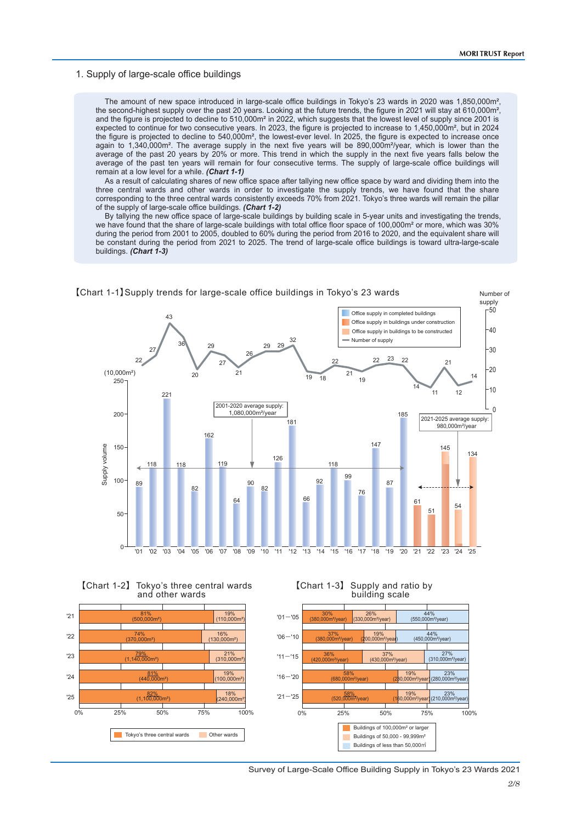## 1. Supply of large-scale office buildings

The amount of new space introduced in large-scale office buildings in Tokyo's 23 wards in 2020 was 1,850,000m<sup>2</sup>, the second-highest supply over the past 20 years. Looking at the future trends, the figure in 2021 will stay at 610,000m², and the figure is projected to decline to 510,000m<sup>2</sup> in 2022, which suggests that the lowest level of supply since 2001 is expected to continue for two consecutive years. In 2023, the figure is projected to increase to 1,450,000m², but in 2024 the figure is projected to decline to 540,000m², the lowest-ever level. In 2025, the figure is expected to increase once again to 1,340,000m². The average supply in the next five years will be 890,000m²/year, which is lower than the average of the past 20 years by 20% or more. This trend in which the supply in the next five years falls below the average of the past ten years will remain for four consecutive terms. The supply of large-scale office buildings will remain at a low level for a while. *(Chart 1-1)*

As a result of calculating shares of new office space after tallying new office space by ward and dividing them into the three central wards and other wards in order to investigate the supply trends, we have found that the share corresponding to the three central wards consistently exceeds 70% from 2021. Tokyo's three wards will remain the pillar of the supply of large-scale office buildings. *(Chart 1-2)*

By tallying the new office space of large-scale buildings by building scale in 5-year units and investigating the trends, we have found that the share of large-scale buildings with total office floor space of 100,000m² or more, which was 30% during the period from 2001 to 2005, doubled to 60% during the period from 2016 to 2020, and the equivalent share will be constant during the period from 2021 to 2025. The trend of large-scale office buildings is toward ultra-large-scale buildings. *(Chart 1-3)*



【Chart 1-1】Supply trends for large-scale office buildings in Tokyo's 23 wards





Survey of Large-Scale Office Building Supply in Tokyo's 23 Wards 2021

【Chart 1-3】 Supply and ratio by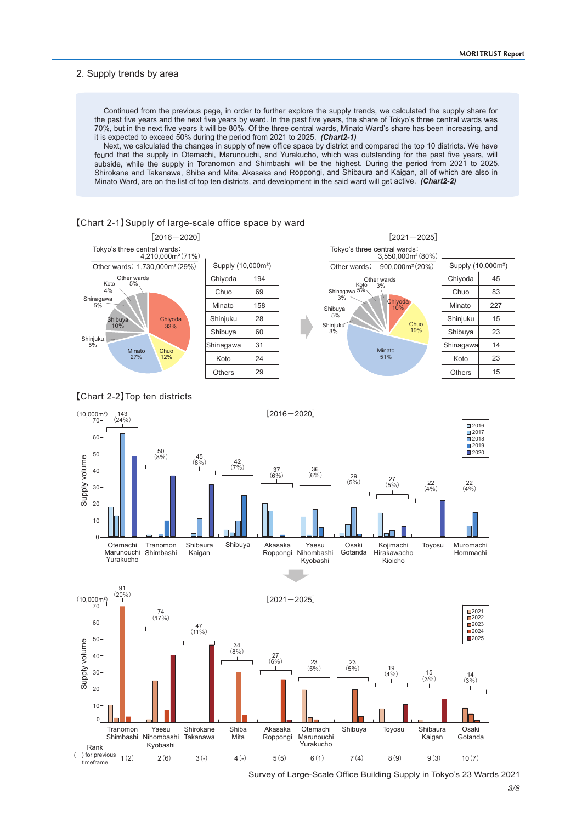## 2. Supply trends by area

Continued from the previous page, in order to further explore the supply trends, we calculated the supply share for the past five years and the next five years by ward. In the past five years, the share of Tokyo's three central wards was 70%, but in the next five years it will be 80%. Of the three central wards, Minato Ward's share has been increasing, and it is expected to exceed 50% during the period from 2021 to 2025. *(Chart2-1)*

Next, we calculated the changes in supply of new office space by district and compared the top 10 districts. We have found that the supply in Otemachi, Marunouchi, and Yurakucho, which was outstanding for the past five years, will subside, while the supply in Toranomon and Shimbashi will be the highest. During the period from 2021 to 2025, Shirokane and Takanawa, Shiba and Mita, Akasaka and Roppongi, and Shibaura and Kaigan, all of which are also in Minato Ward, are on the list of top ten districts, and development in the said ward will get active. *(Chart2-2)*

### 【Chart 2-1】Supply of large-scale office space by ward







Survey of Large-Scale Office Building Supply in Tokyo's 23 Wards 2021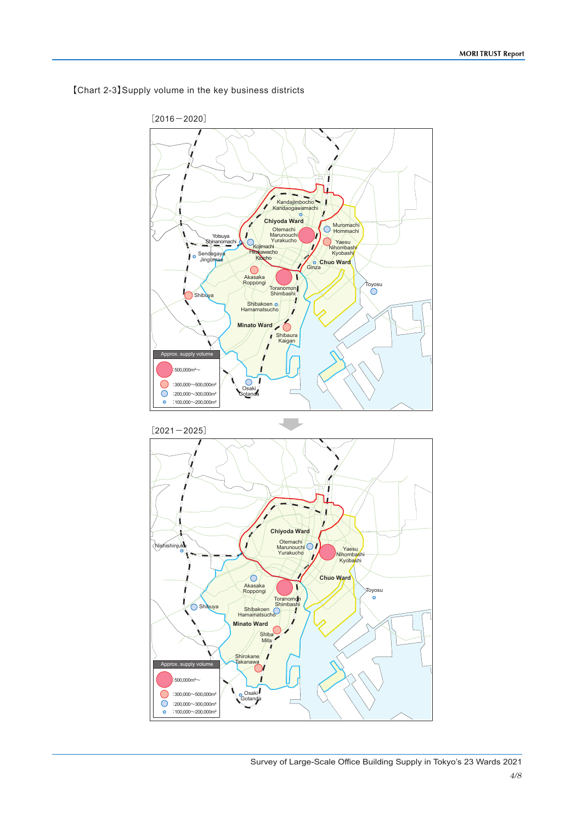

【Chart 2-3】Supply volume in the key business districts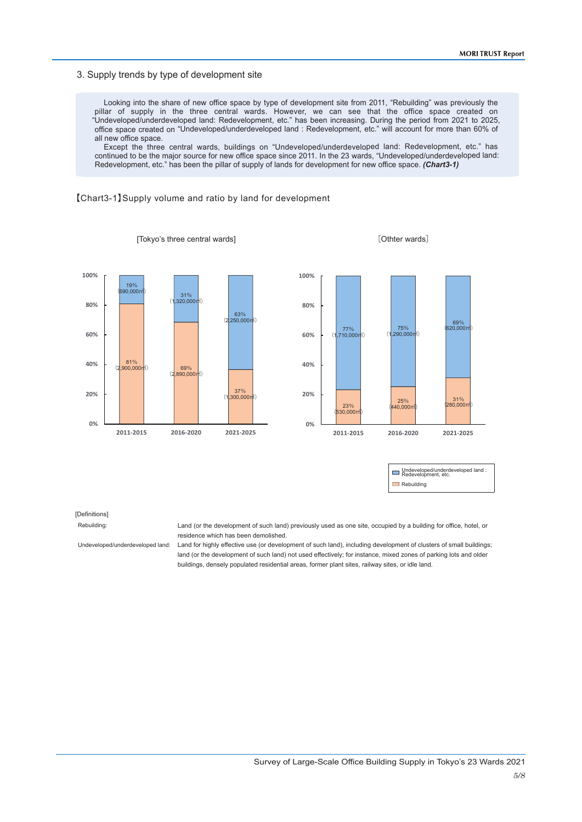## 3. Supply trends by type of development site

Looking into the share of new office space by type of development site from 2011, "Rebuilding" was previously the pillar of supply in the three central wards. However, we can see that the office space created on "Undeveloped/underdeveloped land: Redevelopment, etc." has been increasing. During the period from 2021 to 2025, office space created on "Undeveloped/underdeveloped land : Redevelopment, etc." will account for more than 60% of all new office space.

Except the three central wards, buildings on "Undeveloped/underdeveloped land: Redevelopment, etc." has continued to be the major source for new office space since 2011. In the 23 wards, "Undeveloped/underdeveloped land: Redevelopment, etc." has been the pillar of supply of lands for development for new office space. *(Chart3-1)*

#### 【Chart3-1】Supply volume and ratio by land for development

[Tokyo's three central wards]





[Othter wards]

| Undeveloped/underdeveloped land :<br>Redevelopment, etc. |
|----------------------------------------------------------|
| Rebuilding                                               |

#### [Definitions]

Rebuilding:

Undeveloped/underdeveloped land:

Land (or the development of such land) previously used as one site, occupied by a building for office, hotel, or residence which has been demolished.

Land for highly effective use (or development of such land), including development of clusters of small buildings; land (or the development of such land) not used effectively; for instance, mixed zones of parking lots and older buildings, densely populated residential areas, former plant sites, railway sites, or idle land.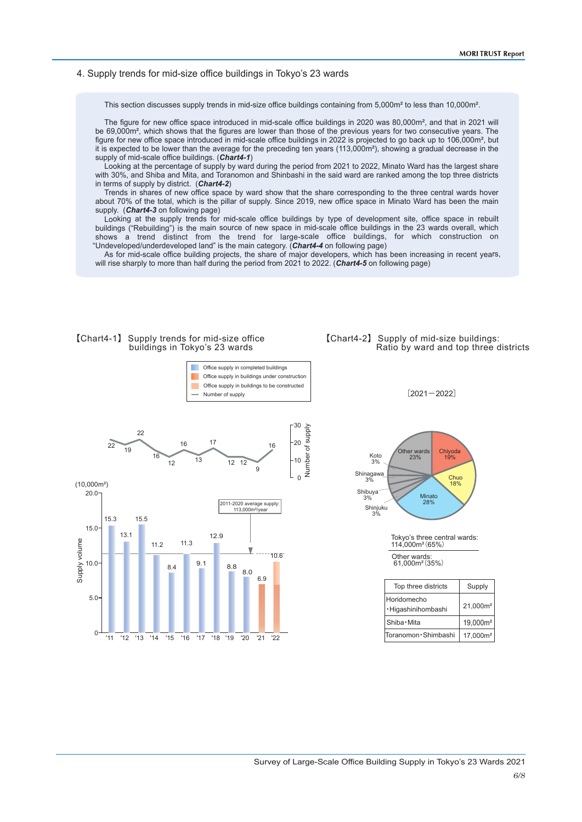## 4. Supply trends for mid-size office buildings in Tokyo's 23 wards

This section discusses supply trends in mid-size office buildings containing from 5,000m<sup>²</sup> to less than 10,000m<sup>²</sup>.

The figure for new office space introduced in mid-scale office buildings in 2020 was 80,000m<sup>2</sup>, and that in 2021 will be 69,000m<sup>2</sup>, which shows that the figures are lower than those of the previous years for two consecutive years. The figure for new office space introduced in mid-scale office buildings in 2022 is projected to go back up to 106,000m<sup>²</sup>, but it is expected to be lower than the average for the preceding ten years (113,000m<sup>²</sup>), showing a gradual decrease in the supply of mid-scale office buildings. (*Chart4-1*)

Looking at the percentage of supply by ward during the period from 2021 to 2022, Minato Ward has the largest share with 30%, and Shiba and Mita, and Toranomon and Shinbashi in the said ward are ranked among the top three districts in terms of supply by district. (*Chart4-2*)

Trends in shares of new office space by ward show that the share corresponding to the three central wards hover about 70% of the total, which is the pillar of supply. Since 2019, new office space in Minato Ward has been the main supply. (*Chart4-3* on following page)

Looking at the supply trends for mid-scale office buildings by type of development site, office space in rebuilt buildings ("Rebuilding") is the main source of new space in mid-scale office buildings in the 23 wards overall, which shows a trend distinct from the trend for large-scale office buildings, for which construction on "Undeveloped/underdeveloped land" is the main category. (*Chart4-4* on following page)

As for mid-scale office building projects, the share of major developers, which has been increasing in recent years, will rise sharply to more than half during the period from 2021 to 2022. (*Chart4-5* on following page)



 $0 - 11 - 12 - 13 - 14 - 15 - 16 - 17 - 18 - 19 - 20$ 

'11 '12 '13 '14 '15 '16 '17 '21 '22

'18 '19

5.0

# 【Chart4-2】 Supply of mid-size buildings: Ratio by ward and top three districts

 $[2021 - 2022]$ 

Chiyoda 19% Chuo 18% Koto 3% Minato 28% Shinagawa 3% Other wards 23% Shibuya 3% Shinjuku 3%

Tokyo's three central wards: 114,000m²(65%)

Other wards: 61,000m²(35%)

| Top three districts               | Supply               |
|-----------------------------------|----------------------|
| Horidomecho<br>·Higashinihombashi | 21,000m <sup>2</sup> |
| Shiba · Mita                      | 19,000m <sup>2</sup> |
| Toranomon · Shimbashi             | 17,000m <sup>2</sup> |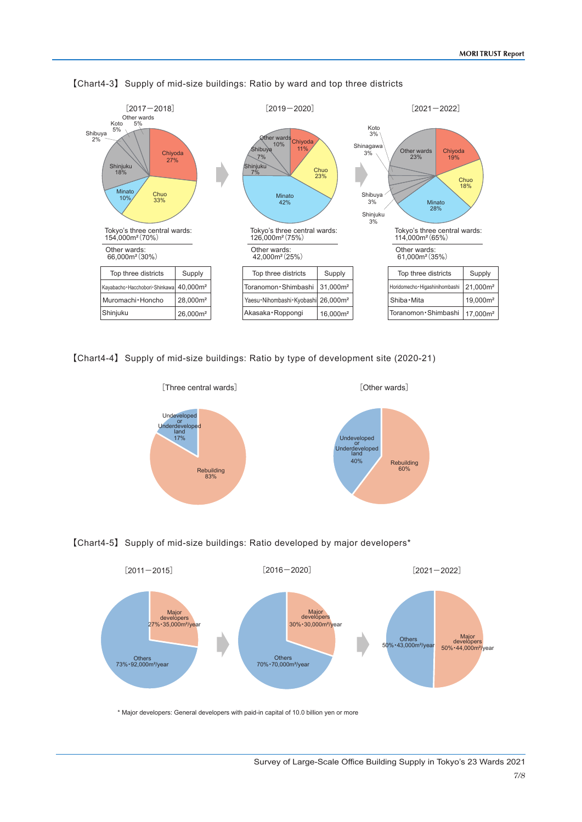

【Chart4-3】 Supply of mid-size buildings: Ratio by ward and top three districts

【Chart4-4】 Supply of mid-size buildings: Ratio by type of development site (2020-21)







\* Major developers: General developers with paid-in capital of 10.0 billion yen or more